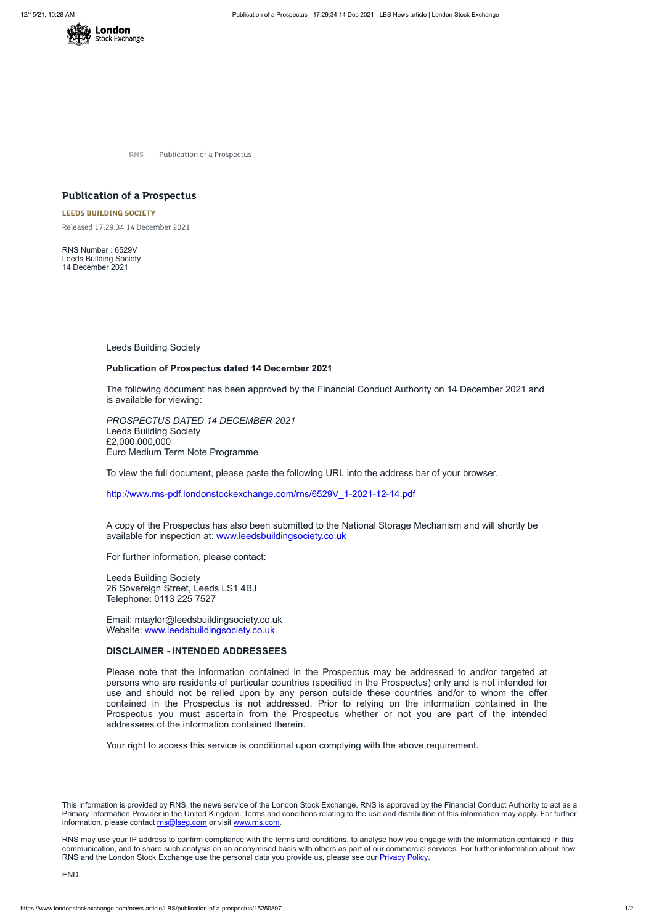

**RNS** Publication of a Prospectus

## **Publication of a Prospectus**

**LEEDS [BUILDING](https://www.londonstockexchange.com/stock/LBS/leeds-building-society) SOCIETY** Released 17:29:34 14 December 2021

RNS Number : 6529V Leeds Building Society 14 December 2021

Leeds Building Society

A copy of the Prospectus has also been submitted to the National Storage Mechanism and will shortly be available for inspection at: [www.leedsbuildingsociety.co.uk](http://www.leedsbuildingsociety.co.uk/)

## **Publication of Prospectus dated 14 December 2021**

The following document has been approved by the Financial Conduct Authority on 14 December 2021 and is available for viewing:

Email: mtaylor@leedsbuildingsociety.co.uk Website: [www.leedsbuildingsociety.co.uk](http://www.leedsbuildingsociety.co.uk/)

*PROSPECTUS DATED 14 DECEMBER 2021* Leeds Building Society £2,000,000,000 Euro Medium Term Note Programme

To view the full document, please paste the following URL into the address bar of your browser.

[http://www.rns-pdf.londonstockexchange.com/rns/6529V\\_1-2021-12-14.pdf](http://www.rns-pdf.londonstockexchange.com/rns/6529V_1-2021-12-14.pdf)

This information is provided by RNS, the news service of the London Stock Exchange. RNS is approved by the Financial Conduct Authority to act as a Primary Information Provider in the United Kingdom. Terms and conditions relating to the use and distribution of this information may apply. For further information, please contact [rns@lseg.com](mailto:rns@lseg.com) or visit [www.rns.com.](http://www.rns.com/)

For further information, please contact:

Leeds Building Society 26 Sovereign Street, Leeds LS1 4BJ Telephone: 0113 225 7527

RNS may use your IP address to confirm compliance with the terms and conditions, to analyse how you engage with the information contained in this communication, and to share such analysis on an anonymised basis with others as part of our commercial services. For further information about how RNS and the London Stock Exchange use the personal data you provide us, please see our **[Privacy](https://www.lseg.com/privacy-and-cookie-policy) Policy**.

## **DISCLAIMER - INTENDED ADDRESSEES**

Please note that the information contained in the Prospectus may be addressed to and/or targeted at persons who are residents of particular countries (specified in the Prospectus) only and is not intended for use and should not be relied upon by any person outside these countries and/or to whom the offer contained in the Prospectus is not addressed. Prior to relying on the information contained in the Prospectus you must ascertain from the Prospectus whether or not you are part of the intended addressees of the information contained therein.

Your right to access this service is conditional upon complying with the above requirement.

END